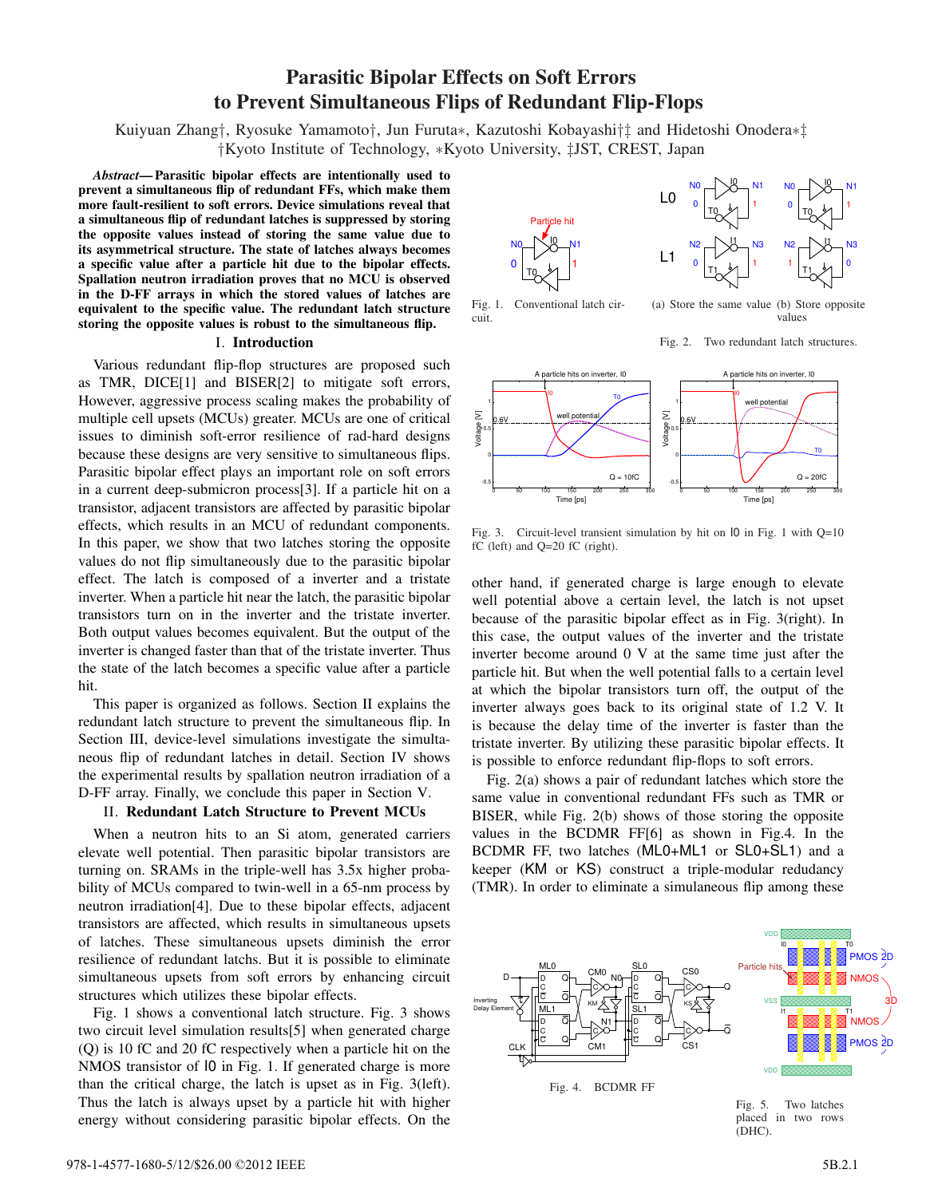# Parasitic Bipolar Effects on Soft Errors to Prevent Simultaneous Flips of Redundant Flip-Flops

Kuiyuan Zhang*†*, Ryosuke Yamamoto*†*, Jun Furuta*∗*, Kazutoshi Kobayashi*†‡* and Hidetoshi Onodera*∗‡ †*Kyoto Institute of Technology, *∗*Kyoto University, *‡*JST, CREST, Japan

*Abstract*— Parasitic bipolar effects are intentionally used to prevent a simultaneous flip of redundant FFs, which make them more fault-resilient to soft errors. Device simulations reveal that a simultaneous flip of redundant latches is suppressed by storing the opposite values instead of storing the same value due to its asymmetrical structure. The state of latches always becomes a specific value after a particle hit due to the bipolar effects. Spallation neutron irradiation proves that no MCU is observed in the D-FF arrays in which the stored values of latches are equivalent to the specific value. The redundant latch structure storing the opposite values is robust to the simultaneous flip.

# I. Introduction

Various redundant flip-flop structures are proposed such as TMR, DICE[1] and BISER[2] to mitigate soft errors, However, aggressive process scaling makes the probability of multiple cell upsets (MCUs) greater. MCUs are one of critical issues to diminish soft-error resilience of rad-hard designs because these designs are very sensitive to simultaneous flips. Parasitic bipolar effect plays an important role on soft errors in a current deep-submicron process[3]. If a particle hit on a transistor, adjacent transistors are affected by parasitic bipolar effects, which results in an MCU of redundant components. In this paper, we show that two latches storing the opposite values do not flip simultaneously due to the parasitic bipolar effect. The latch is composed of a inverter and a tristate inverter. When a particle hit near the latch, the parasitic bipolar transistors turn on in the inverter and the tristate inverter. Both output values becomes equivalent. But the output of the inverter is changed faster than that of the tristate inverter. Thus the state of the latch becomes a specific value after a particle hit.

This paper is organized as follows. Section II explains the redundant latch structure to prevent the simultaneous flip. In Section III, device-level simulations investigate the simultaneous flip of redundant latches in detail. Section IV shows the experimental results by spallation neutron irradiation of a D-FF array. Finally, we conclude this paper in Section V.

# II. Redundant Latch Structure to Prevent MCUs

When a neutron hits to an Si atom, generated carriers elevate well potential. Then parasitic bipolar transistors are turning on. SRAMs in the triple-well has 3.5x higher probability of MCUs compared to twin-well in a 65-nm process by neutron irradiation[4]. Due to these bipolar effects, adjacent transistors are affected, which results in simultaneous upsets of latches. These simultaneous upsets diminish the error resilience of redundant latchs. But it is possible to eliminate simultaneous upsets from soft errors by enhancing circuit structures which utilizes these bipolar effects.

Fig. 1 shows a conventional latch structure. Fig. 3 shows two circuit level simulation results[5] when generated charge (Q) is 10 fC and 20 fC respectively when a particle hit on the NMOS transistor of I0 in Fig. 1. If generated charge is more than the critical charge, the latch is upset as in Fig. 3(left). Thus the latch is always upset by a particle hit with higher energy without considering parasitic bipolar effects. On the





Fig. 1. Conventional latch circuit.

(a) Store the same value (b) Store opposite values

Fig. 2. Two redundant latch structures.



Fig. 3. Circuit-level transient simulation by hit on I0 in Fig. 1 with Q=10 fC (left) and Q=20 fC (right).

other hand, if generated charge is large enough to elevate well potential above a certain level, the latch is not upset because of the parasitic bipolar effect as in Fig. 3(right). In this case, the output values of the inverter and the tristate inverter become around 0 V at the same time just after the particle hit. But when the well potential falls to a certain level at which the bipolar transistors turn off, the output of the inverter always goes back to its original state of 1.2 V. It is because the delay time of the inverter is faster than the tristate inverter. By utilizing these parasitic bipolar effects. It is possible to enforce redundant flip-flops to soft errors.

Fig. 2(a) shows a pair of redundant latches which store the same value in conventional redundant FFs such as TMR or BISER, while Fig. 2(b) shows of those storing the opposite values in the BCDMR FF[6] as shown in Fig.4. In the BCDMR FF, two latches (ML0+ML1 or SL0+SL1) and a keeper (KM or KS) construct a triple-modular redudancy (TMR). In order to eliminate a simulaneous flip among these



Fig. 5. Two latches placed in two rows (DHC).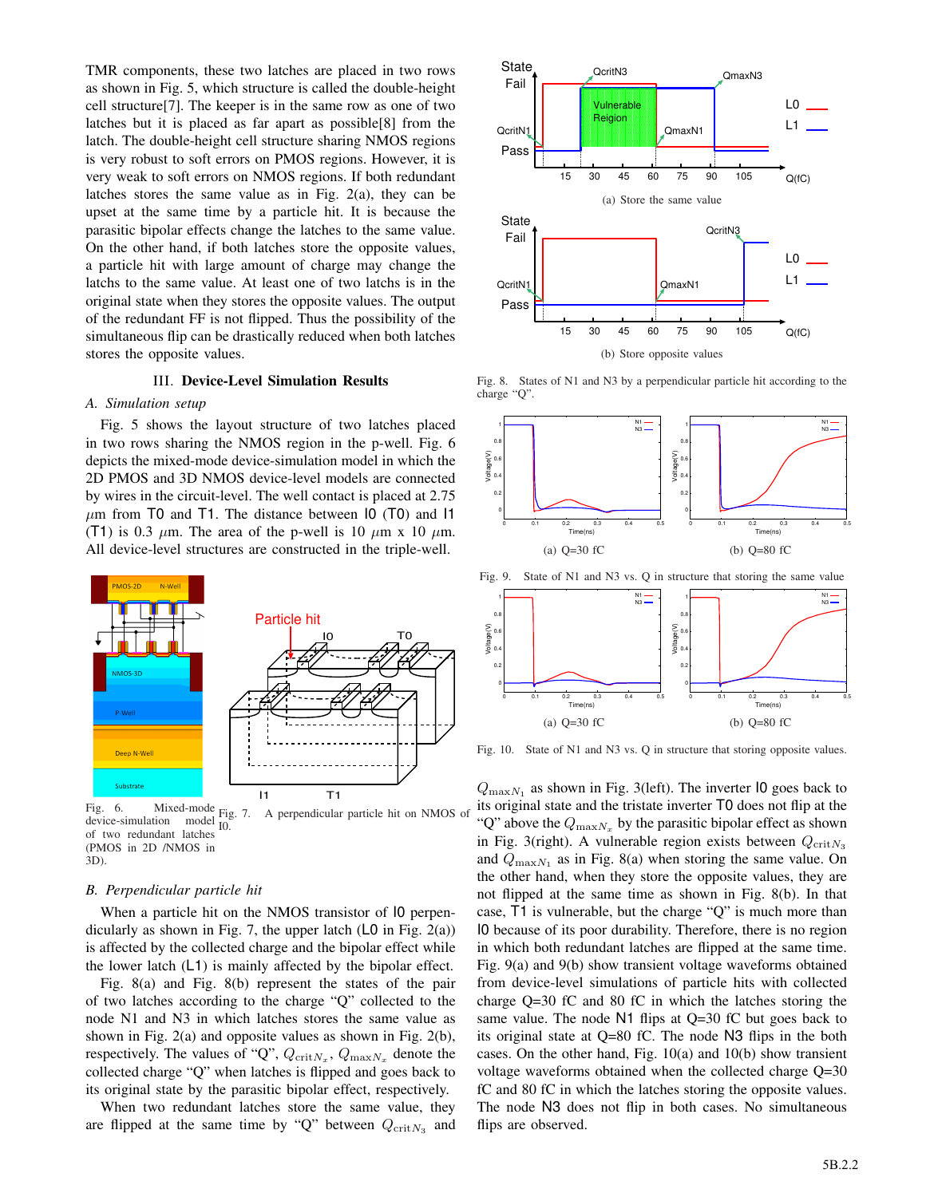TMR components, these two latches are placed in two rows as shown in Fig. 5, which structure is called the double-height cell structure[7]. The keeper is in the same row as one of two latches but it is placed as far apart as possible[8] from the latch. The double-height cell structure sharing NMOS regions is very robust to soft errors on PMOS regions. However, it is very weak to soft errors on NMOS regions. If both redundant latches stores the same value as in Fig. 2(a), they can be upset at the same time by a particle hit. It is because the parasitic bipolar effects change the latches to the same value. On the other hand, if both latches store the opposite values, a particle hit with large amount of charge may change the latchs to the same value. At least one of two latchs is in the original state when they stores the opposite values. The output of the redundant FF is not flipped. Thus the possibility of the simultaneous flip can be drastically reduced when both latches stores the opposite values.

# III. Device-Level Simulation Results

# *A. Simulation setup*

Fig. 5 shows the layout structure of two latches placed in two rows sharing the NMOS region in the p-well. Fig. 6 depicts the mixed-mode device-simulation model in which the 2D PMOS and 3D NMOS device-level models are connected by wires in the circuit-level. The well contact is placed at 2.75 *µ*m from T0 and T1. The distance between I0 (T0) and I1 (T1) is 0.3  $\mu$ m. The area of the p-well is 10  $\mu$ m x 10  $\mu$ m. All device-level structures are constructed in the triple-well.



Fig. 6. Mixed-mode Fig. 7. device-simulation of two redundant latches (PMOS in 2D /NMOS in 3D). A perpendicular particle hit on NMOS of model  $\frac{1}{10}$ .

## *B. Perpendicular particle hit*

When a particle hit on the NMOS transistor of I0 perpendicularly as shown in Fig. 7, the upper latch  $(L0 \text{ in Fig. 2(a)})$ is affected by the collected charge and the bipolar effect while the lower latch (L1) is mainly affected by the bipolar effect.

Fig. 8(a) and Fig. 8(b) represent the states of the pair of two latches according to the charge "Q" collected to the node N1 and N3 in which latches stores the same value as shown in Fig. 2(a) and opposite values as shown in Fig. 2(b), respectively. The values of "Q",  $Q_{\text{crit}N_x}$ ,  $Q_{\text{max}N_x}$  denote the collected charge "Q" when latches is flipped and goes back to its original state by the parasitic bipolar effect, respectively.

When two redundant latches store the same value, they are flipped at the same time by "Q" between  $Q_{\text{crit }N_3}$  and



Fig. 8. States of N1 and N3 by a perpendicular particle hit according to the charge "Q".





Fig. 10. State of N1 and N3 vs. Q in structure that storing opposite values.

*Q*max*N*<sup>1</sup> as shown in Fig. 3(left). The inverter I0 goes back to its original state and the tristate inverter T0 does not flip at the "Q" above the  $Q_{\text{max}N_x}$  by the parasitic bipolar effect as shown in Fig. 3(right). A vulnerable region exists between  $Q_{\text{crit }N_3}$ and  $Q_{\text{max}N_1}$  as in Fig. 8(a) when storing the same value. On the other hand, when they store the opposite values, they are not flipped at the same time as shown in Fig. 8(b). In that case, T1 is vulnerable, but the charge "Q" is much more than I0 because of its poor durability. Therefore, there is no region in which both redundant latches are flipped at the same time. Fig. 9(a) and 9(b) show transient voltage waveforms obtained from device-level simulations of particle hits with collected charge Q=30 fC and 80 fC in which the latches storing the same value. The node  $N1$  flips at  $Q=30$  fC but goes back to its original state at Q=80 fC. The node N3 flips in the both cases. On the other hand, Fig. 10(a) and 10(b) show transient voltage waveforms obtained when the collected charge Q=30 fC and 80 fC in which the latches storing the opposite values. The node N3 does not flip in both cases. No simultaneous flips are observed.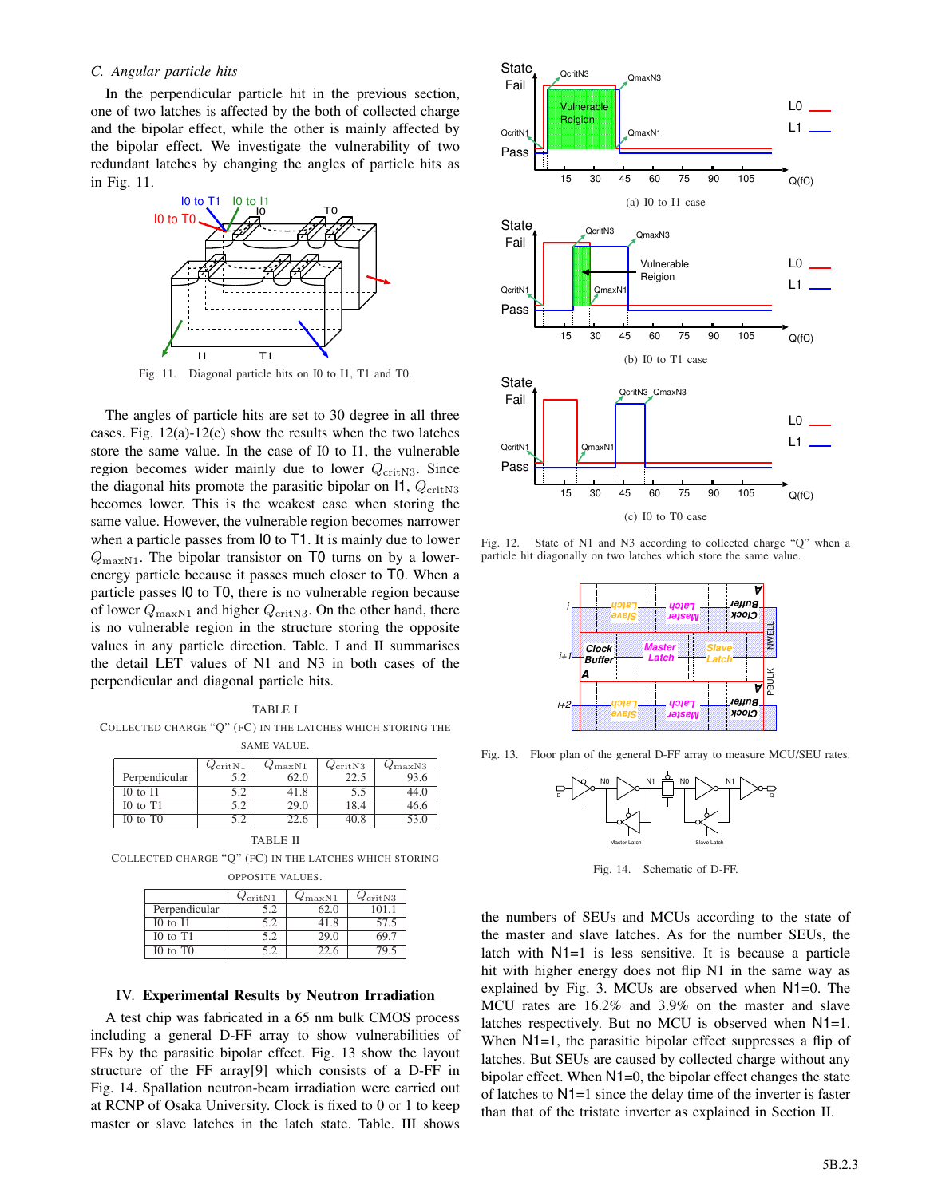#### *C. Angular particle hits*

In the perpendicular particle hit in the previous section, one of two latches is affected by the both of collected charge and the bipolar effect, while the other is mainly affected by the bipolar effect. We investigate the vulnerability of two redundant latches by changing the angles of particle hits as in Fig. 11.



Fig. 11. Diagonal particle hits on I0 to I1, T1 and T0.

The angles of particle hits are set to 30 degree in all three cases. Fig.  $12(a)-12(c)$  show the results when the two latches store the same value. In the case of I0 to I1, the vulnerable region becomes wider mainly due to lower  $Q_{\text{critN3}}$ . Since the diagonal hits promote the parasitic bipolar on  $11, Q_{\text{crit}N3}$ becomes lower. This is the weakest case when storing the same value. However, the vulnerable region becomes narrower when a particle passes from 10 to T1. It is mainly due to lower *Q*maxN1. The bipolar transistor on T0 turns on by a lowerenergy particle because it passes much closer to T0. When a particle passes I0 to T0, there is no vulnerable region because of lower *Q*maxN1 and higher *Q*critN3. On the other hand, there is no vulnerable region in the structure storing the opposite values in any particle direction. Table. I and II summarises the detail LET values of N1 and N3 in both cases of the perpendicular and diagonal particle hits.

#### TABLE I

COLLECTED CHARGE "Q" (FC) IN THE LATCHES WHICH STORING THE SAME VALUE.

|               | $Q_{\rm crit N1}$ | $Q_{\rm maxN1}$ | $Q_{\text{crit}N3}$ | $Q_{\rm maxN3}$ |
|---------------|-------------------|-----------------|---------------------|-----------------|
| Perpendicular | 5.2               | 62.0            | 22.5                | 93.6            |
| $10$ to $11$  | 5.2               | 41.8            | 5.5                 | 44.0            |
| $I0$ to $T1$  | 5.2               | 29.0            | 18.4                | 46.6            |
| I0 to T0      | 5.2               | 22.6            | 40.8                | 53.0            |

TABLE II

COLLECTED CHARGE "Q" (FC) IN THE LATCHES WHICH STORING OPPOSITE VALUES.

|               | $Q_{\rm crit N1}$ | $Q_{\rm maxN1}$ | $Q_{\text{crit}N3}$ |  |  |  |
|---------------|-------------------|-----------------|---------------------|--|--|--|
| Perpendicular | 52                | 62.0            | 101.1               |  |  |  |
| $10$ to $11$  | 52                | 41.8            | 57.5                |  |  |  |
| $I0$ to $T1$  | 52                | 29.0            | 69.7                |  |  |  |
| $10$ to $T0$  | 52                | 22.6            |                     |  |  |  |

# IV. Experimental Results by Neutron Irradiation

A test chip was fabricated in a 65 nm bulk CMOS process including a general D-FF array to show vulnerabilities of FFs by the parasitic bipolar effect. Fig. 13 show the layout structure of the FF array[9] which consists of a D-FF in Fig. 14. Spallation neutron-beam irradiation were carried out at RCNP of Osaka University. Clock is fixed to 0 or 1 to keep master or slave latches in the latch state. Table. III shows



Fig. 12. State of N1 and N3 according to collected charge "Q" when a particle hit diagonally on two latches which store the same value.



Fig. 13. Floor plan of the general D-FF array to measure MCU/SEU rates.



Fig. 14. Schematic of D-FF.

the numbers of SEUs and MCUs according to the state of the master and slave latches. As for the number SEUs, the latch with N1=1 is less sensitive. It is because a particle hit with higher energy does not flip N1 in the same way as explained by Fig. 3. MCUs are observed when N1=0. The MCU rates are 16.2% and 3.9% on the master and slave latches respectively. But no MCU is observed when N1=1. When  $N1=1$ , the parasitic bipolar effect suppresses a flip of latches. But SEUs are caused by collected charge without any bipolar effect. When N1=0, the bipolar effect changes the state of latches to  $N1=1$  since the delay time of the inverter is faster than that of the tristate inverter as explained in Section II.